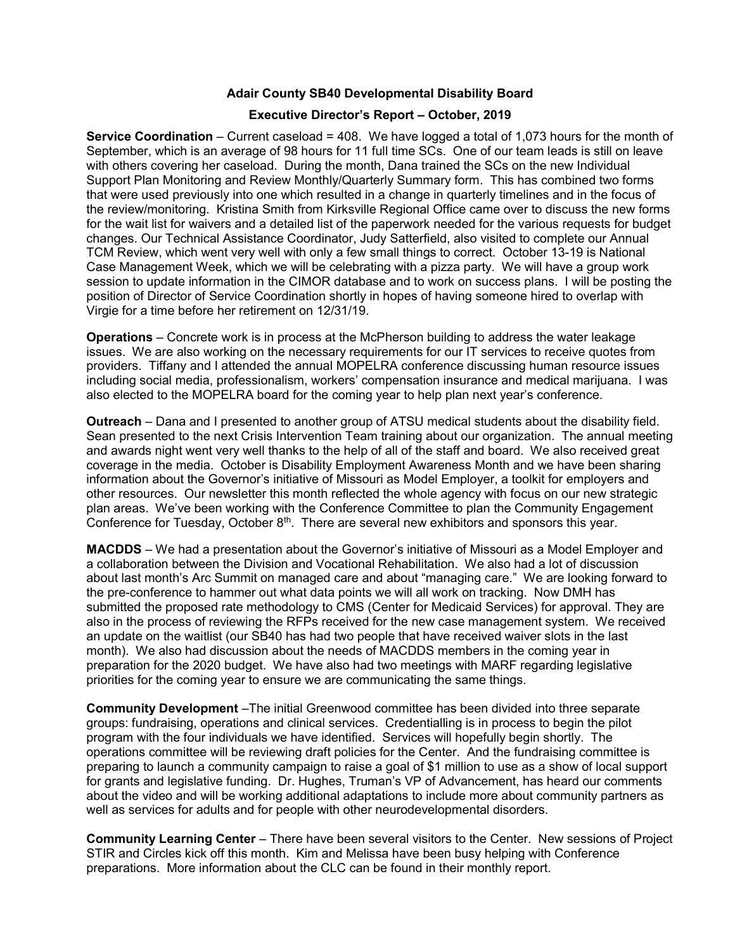## Adair County SB40 Developmental Disability Board

## Executive Director's Report – October, 2019

Service Coordination – Current caseload = 408. We have logged a total of 1,073 hours for the month of September, which is an average of 98 hours for 11 full time SCs. One of our team leads is still on leave with others covering her caseload. During the month, Dana trained the SCs on the new Individual Support Plan Monitoring and Review Monthly/Quarterly Summary form. This has combined two forms that were used previously into one which resulted in a change in quarterly timelines and in the focus of the review/monitoring. Kristina Smith from Kirksville Regional Office came over to discuss the new forms for the wait list for waivers and a detailed list of the paperwork needed for the various requests for budget changes. Our Technical Assistance Coordinator, Judy Satterfield, also visited to complete our Annual TCM Review, which went very well with only a few small things to correct. October 13-19 is National Case Management Week, which we will be celebrating with a pizza party. We will have a group work session to update information in the CIMOR database and to work on success plans. I will be posting the position of Director of Service Coordination shortly in hopes of having someone hired to overlap with Virgie for a time before her retirement on 12/31/19.

Operations – Concrete work is in process at the McPherson building to address the water leakage issues. We are also working on the necessary requirements for our IT services to receive quotes from providers. Tiffany and I attended the annual MOPELRA conference discussing human resource issues including social media, professionalism, workers' compensation insurance and medical marijuana. I was also elected to the MOPELRA board for the coming year to help plan next year's conference.

Outreach – Dana and I presented to another group of ATSU medical students about the disability field. Sean presented to the next Crisis Intervention Team training about our organization. The annual meeting and awards night went very well thanks to the help of all of the staff and board. We also received great coverage in the media. October is Disability Employment Awareness Month and we have been sharing information about the Governor's initiative of Missouri as Model Employer, a toolkit for employers and other resources. Our newsletter this month reflected the whole agency with focus on our new strategic plan areas. We've been working with the Conference Committee to plan the Community Engagement Conference for Tuesday, October 8<sup>th</sup>. There are several new exhibitors and sponsors this year.

MACDDS – We had a presentation about the Governor's initiative of Missouri as a Model Employer and a collaboration between the Division and Vocational Rehabilitation. We also had a lot of discussion about last month's Arc Summit on managed care and about "managing care." We are looking forward to the pre-conference to hammer out what data points we will all work on tracking. Now DMH has submitted the proposed rate methodology to CMS (Center for Medicaid Services) for approval. They are also in the process of reviewing the RFPs received for the new case management system. We received an update on the waitlist (our SB40 has had two people that have received waiver slots in the last month). We also had discussion about the needs of MACDDS members in the coming year in preparation for the 2020 budget. We have also had two meetings with MARF regarding legislative priorities for the coming year to ensure we are communicating the same things.

Community Development –The initial Greenwood committee has been divided into three separate groups: fundraising, operations and clinical services. Credentialling is in process to begin the pilot program with the four individuals we have identified. Services will hopefully begin shortly. The operations committee will be reviewing draft policies for the Center. And the fundraising committee is preparing to launch a community campaign to raise a goal of \$1 million to use as a show of local support for grants and legislative funding. Dr. Hughes, Truman's VP of Advancement, has heard our comments about the video and will be working additional adaptations to include more about community partners as well as services for adults and for people with other neurodevelopmental disorders.

Community Learning Center – There have been several visitors to the Center. New sessions of Project STIR and Circles kick off this month. Kim and Melissa have been busy helping with Conference preparations. More information about the CLC can be found in their monthly report.